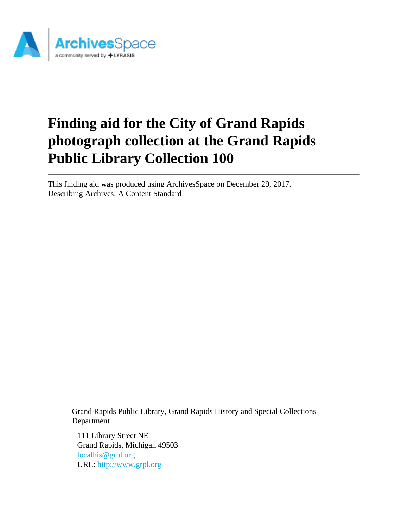

# **Finding aid for the City of Grand Rapids photograph collection at the Grand Rapids Public Library Collection 100**

This finding aid was produced using ArchivesSpace on December 29, 2017. Describing Archives: A Content Standard

Grand Rapids Public Library, Grand Rapids History and Special Collections Department

111 Library Street NE Grand Rapids, Michigan 49503 [localhis@grpl.org](mailto:localhis@grpl.org) URL:<http://www.grpl.org>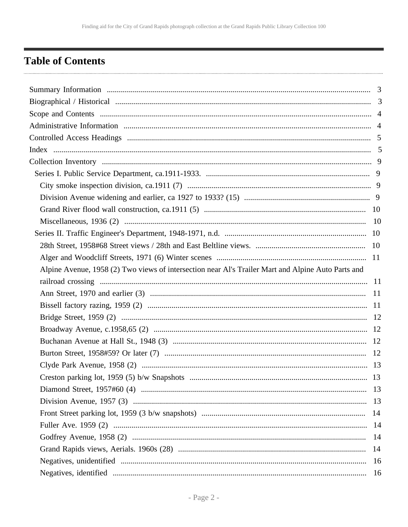# <span id="page-1-0"></span>**Table of Contents**

| Alpine Avenue, 1958 (2) Two views of intersection near Al's Trailer Mart and Alpine Auto Parts and |  |
|----------------------------------------------------------------------------------------------------|--|
|                                                                                                    |  |
|                                                                                                    |  |
|                                                                                                    |  |
|                                                                                                    |  |
|                                                                                                    |  |
|                                                                                                    |  |
|                                                                                                    |  |
|                                                                                                    |  |
|                                                                                                    |  |
|                                                                                                    |  |
|                                                                                                    |  |
|                                                                                                    |  |
|                                                                                                    |  |
|                                                                                                    |  |
|                                                                                                    |  |
|                                                                                                    |  |
|                                                                                                    |  |
|                                                                                                    |  |
|                                                                                                    |  |
|                                                                                                    |  |
|                                                                                                    |  |
|                                                                                                    |  |
|                                                                                                    |  |
|                                                                                                    |  |
|                                                                                                    |  |
|                                                                                                    |  |
|                                                                                                    |  |
|                                                                                                    |  |
|                                                                                                    |  |
|                                                                                                    |  |
|                                                                                                    |  |
|                                                                                                    |  |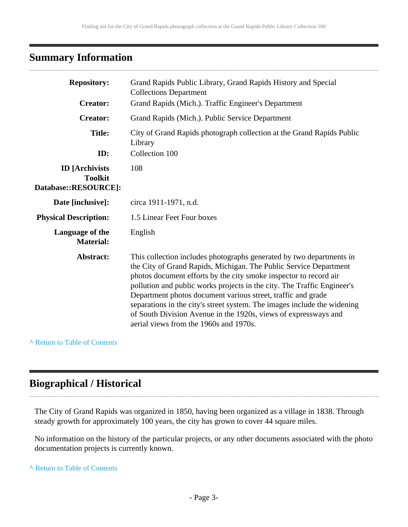## <span id="page-2-0"></span>**Summary Information**

| <b>Repository:</b>                                              | Grand Rapids Public Library, Grand Rapids History and Special<br><b>Collections Department</b>                                                                                                                                                                                                                                                                                                                                                                                                                                                     |
|-----------------------------------------------------------------|----------------------------------------------------------------------------------------------------------------------------------------------------------------------------------------------------------------------------------------------------------------------------------------------------------------------------------------------------------------------------------------------------------------------------------------------------------------------------------------------------------------------------------------------------|
| <b>Creator:</b>                                                 | Grand Rapids (Mich.). Traffic Engineer's Department                                                                                                                                                                                                                                                                                                                                                                                                                                                                                                |
| <b>Creator:</b>                                                 | Grand Rapids (Mich.). Public Service Department                                                                                                                                                                                                                                                                                                                                                                                                                                                                                                    |
| <b>Title:</b>                                                   | City of Grand Rapids photograph collection at the Grand Rapids Public<br>Library                                                                                                                                                                                                                                                                                                                                                                                                                                                                   |
| ID:                                                             | Collection 100                                                                                                                                                                                                                                                                                                                                                                                                                                                                                                                                     |
| <b>ID</b> [Archivists<br><b>Toolkit</b><br>Database::RESOURCE]: | 108                                                                                                                                                                                                                                                                                                                                                                                                                                                                                                                                                |
| Date [inclusive]:                                               | circa 1911-1971, n.d.                                                                                                                                                                                                                                                                                                                                                                                                                                                                                                                              |
| <b>Physical Description:</b>                                    | 1.5 Linear Feet Four boxes                                                                                                                                                                                                                                                                                                                                                                                                                                                                                                                         |
| Language of the<br><b>Material:</b>                             | English                                                                                                                                                                                                                                                                                                                                                                                                                                                                                                                                            |
| Abstract:                                                       | This collection includes photographs generated by two departments in<br>the City of Grand Rapids, Michigan. The Public Service Department<br>photos document efforts by the city smoke inspector to record air<br>pollution and public works projects in the city. The Traffic Engineer's<br>Department photos document various street, traffic and grade<br>separations in the city's street system. The images include the widening<br>of South Division Avenue in the 1920s, views of expressways and<br>aerial views from the 1960s and 1970s. |

**^** [Return to Table of Contents](#page-1-0)

# <span id="page-2-1"></span>**Biographical / Historical**

The City of Grand Rapids was organized in 1850, having been organized as a village in 1838. Through steady growth for approximately 100 years, the city has grown to cover 44 square miles.

No information on the history of the particular projects, or any other documents associated with the photo documentation projects is currently known.

**^** [Return to Table of Contents](#page-1-0)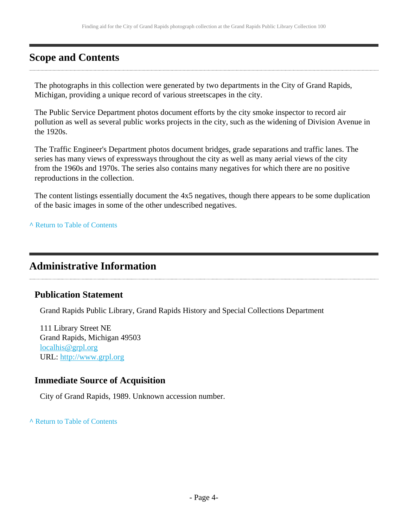# <span id="page-3-0"></span>**Scope and Contents**

The photographs in this collection were generated by two departments in the City of Grand Rapids, Michigan, providing a unique record of various streetscapes in the city.

The Public Service Department photos document efforts by the city smoke inspector to record air pollution as well as several public works projects in the city, such as the widening of Division Avenue in the 1920s.

The Traffic Engineer's Department photos document bridges, grade separations and traffic lanes. The series has many views of expressways throughout the city as well as many aerial views of the city from the 1960s and 1970s. The series also contains many negatives for which there are no positive reproductions in the collection.

The content listings essentially document the 4x5 negatives, though there appears to be some duplication of the basic images in some of the other undescribed negatives.

**^** [Return to Table of Contents](#page-1-0)

### <span id="page-3-1"></span>**Administrative Information**

#### **Publication Statement**

Grand Rapids Public Library, Grand Rapids History and Special Collections Department

111 Library Street NE Grand Rapids, Michigan 49503 [localhis@grpl.org](mailto:localhis@grpl.org) URL:<http://www.grpl.org>

#### **Immediate Source of Acquisition**

City of Grand Rapids, 1989. Unknown accession number.

**^** [Return to Table of Contents](#page-1-0)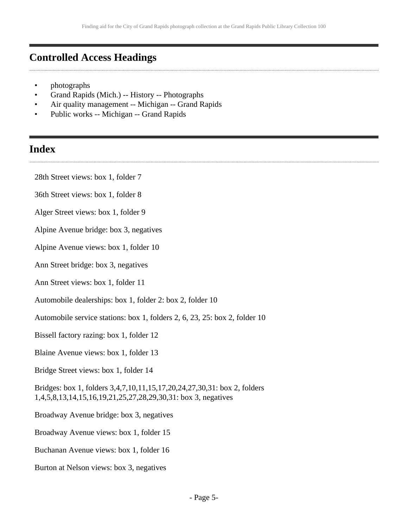### <span id="page-4-0"></span>**Controlled Access Headings**

- photographs
- Grand Rapids (Mich.) -- History -- Photographs
- Air quality management -- Michigan -- Grand Rapids
- Public works -- Michigan -- Grand Rapids

### <span id="page-4-1"></span>**Index**

- 28th Street views: box 1, folder 7
- 36th Street views: box 1, folder 8
- Alger Street views: box 1, folder 9
- Alpine Avenue bridge: box 3, negatives
- Alpine Avenue views: box 1, folder 10
- Ann Street bridge: box 3, negatives
- Ann Street views: box 1, folder 11
- Automobile dealerships: box 1, folder 2: box 2, folder 10
- Automobile service stations: box 1, folders 2, 6, 23, 25: box 2, folder 10
- Bissell factory razing: box 1, folder 12
- Blaine Avenue views: box 1, folder 13
- Bridge Street views: box 1, folder 14

Bridges: box 1, folders 3,4,7,10,11,15,17,20,24,27,30,31: box 2, folders 1,4,5,8,13,14,15,16,19,21,25,27,28,29,30,31: box 3, negatives

- Broadway Avenue bridge: box 3, negatives
- Broadway Avenue views: box 1, folder 15
- Buchanan Avenue views: box 1, folder 16
- Burton at Nelson views: box 3, negatives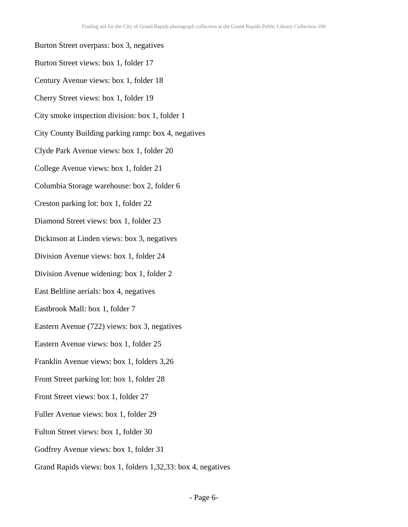- Burton Street overpass: box 3, negatives Burton Street views: box 1, folder 17 Century Avenue views: box 1, folder 18 Cherry Street views: box 1, folder 19 City smoke inspection division: box 1, folder 1 City County Building parking ramp: box 4, negatives Clyde Park Avenue views: box 1, folder 20 College Avenue views: box 1, folder 21 Columbia Storage warehouse: box 2, folder 6 Creston parking lot: box 1, folder 22 Diamond Street views: box 1, folder 23 Dickinson at Linden views: box 3, negatives Division Avenue views: box 1, folder 24 Division Avenue widening: box 1, folder 2 East Beltline aerials: box 4, negatives Eastbrook Mall: box 1, folder 7 Eastern Avenue (722) views: box 3, negatives Eastern Avenue views: box 1, folder 25 Franklin Avenue views: box 1, folders 3,26 Front Street parking lot: box 1, folder 28 Front Street views: box 1, folder 27 Fuller Avenue views: box 1, folder 29 Fulton Street views: box 1, folder 30 Godfrey Avenue views: box 1, folder 31
- Grand Rapids views: box 1, folders 1,32,33: box 4, negatives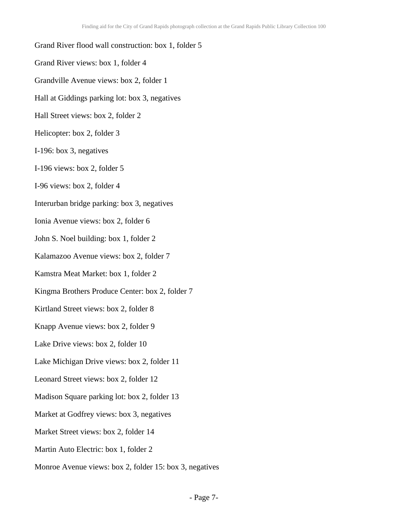#### Grand River flood wall construction: box 1, folder 5

- Grand River views: box 1, folder 4
- Grandville Avenue views: box 2, folder 1
- Hall at Giddings parking lot: box 3, negatives
- Hall Street views: box 2, folder 2
- Helicopter: box 2, folder 3
- I-196: box 3, negatives
- I-196 views: box 2, folder 5
- I-96 views: box 2, folder 4
- Interurban bridge parking: box 3, negatives
- Ionia Avenue views: box 2, folder 6
- John S. Noel building: box 1, folder 2
- Kalamazoo Avenue views: box 2, folder 7
- Kamstra Meat Market: box 1, folder 2
- Kingma Brothers Produce Center: box 2, folder 7
- Kirtland Street views: box 2, folder 8
- Knapp Avenue views: box 2, folder 9
- Lake Drive views: box 2, folder 10
- Lake Michigan Drive views: box 2, folder 11
- Leonard Street views: box 2, folder 12
- Madison Square parking lot: box 2, folder 13
- Market at Godfrey views: box 3, negatives
- Market Street views: box 2, folder 14
- Martin Auto Electric: box 1, folder 2
- Monroe Avenue views: box 2, folder 15: box 3, negatives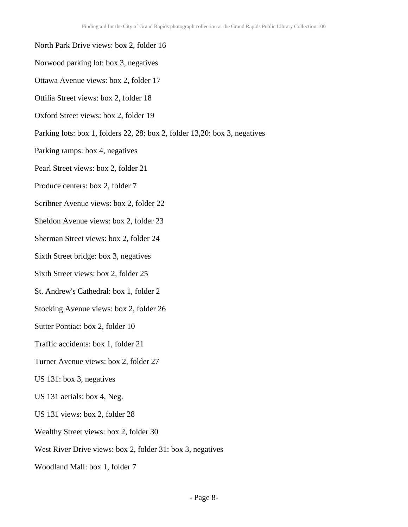- North Park Drive views: box 2, folder 16
- Norwood parking lot: box 3, negatives
- Ottawa Avenue views: box 2, folder 17
- Ottilia Street views: box 2, folder 18
- Oxford Street views: box 2, folder 19
- Parking lots: box 1, folders 22, 28: box 2, folder 13,20: box 3, negatives
- Parking ramps: box 4, negatives
- Pearl Street views: box 2, folder 21
- Produce centers: box 2, folder 7
- Scribner Avenue views: box 2, folder 22
- Sheldon Avenue views: box 2, folder 23
- Sherman Street views: box 2, folder 24
- Sixth Street bridge: box 3, negatives
- Sixth Street views: box 2, folder 25
- St. Andrew's Cathedral: box 1, folder 2
- Stocking Avenue views: box 2, folder 26
- Sutter Pontiac: box 2, folder 10
- Traffic accidents: box 1, folder 21
- Turner Avenue views: box 2, folder 27
- US 131: box 3, negatives
- US 131 aerials: box 4, Neg.
- US 131 views: box 2, folder 28
- Wealthy Street views: box 2, folder 30
- West River Drive views: box 2, folder 31: box 3, negatives
- Woodland Mall: box 1, folder 7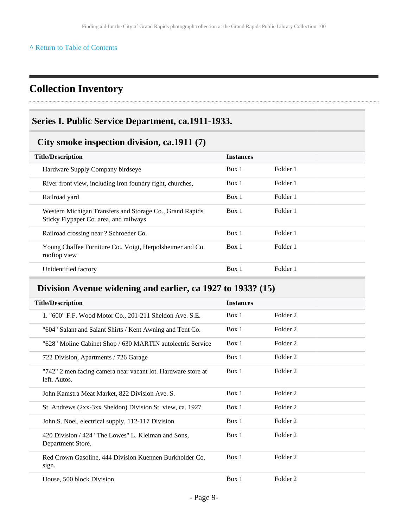#### **^** [Return to Table of Contents](#page-1-0)

## <span id="page-8-0"></span>**Collection Inventory**

#### <span id="page-8-1"></span>**Series I. Public Service Department, ca.1911-1933.**

#### <span id="page-8-2"></span>**City smoke inspection division, ca.1911 (7)**

| <b>Title/Description</b>                                                                           | <b>Instances</b> |          |  |
|----------------------------------------------------------------------------------------------------|------------------|----------|--|
| Hardware Supply Company birdseye                                                                   | Box 1            | Folder 1 |  |
| River front view, including iron foundry right, churches,                                          | Box 1            | Folder 1 |  |
| Railroad yard                                                                                      | Box 1            | Folder 1 |  |
| Western Michigan Transfers and Storage Co., Grand Rapids<br>Sticky Flypaper Co. area, and railways | Box 1            | Folder 1 |  |
| Railroad crossing near? Schroeder Co.                                                              | Box 1            | Folder 1 |  |
| Young Chaffee Furniture Co., Voigt, Herpolsheimer and Co.<br>rooftop view                          | Box 1            | Folder 1 |  |
| Unidentified factory                                                                               | Box 1            | Folder 1 |  |

### <span id="page-8-3"></span>**Division Avenue widening and earlier, ca 1927 to 1933? (15)**

| <b>Title/Description</b>                                                     | <b>Instances</b> |          |
|------------------------------------------------------------------------------|------------------|----------|
| 1. "600" F.F. Wood Motor Co., 201-211 Sheldon Ave. S.E.                      | Box 1            | Folder 2 |
| "604" Salant and Salant Shirts / Kent Awning and Tent Co.                    | Box 1            | Folder 2 |
| "628" Moline Cabinet Shop / 630 MARTIN autolectric Service                   | Box 1            | Folder 2 |
| 722 Division, Apartments / 726 Garage                                        | Box 1            | Folder 2 |
| "742" 2 men facing camera near vacant lot. Hardware store at<br>left. Autos. | Box 1            | Folder 2 |
| John Kamstra Meat Market, 822 Division Ave. S.                               | Box 1            | Folder 2 |
| St. Andrews (2xx-3xx Sheldon) Division St. view, ca. 1927                    | Box 1            | Folder 2 |
| John S. Noel, electrical supply, 112-117 Division.                           | Box 1            | Folder 2 |
| 420 Division / 424 "The Lowes" L. Kleiman and Sons,<br>Department Store.     | Box 1            | Folder 2 |
| Red Crown Gasoline, 444 Division Kuennen Burkholder Co.<br>sign.             | Box 1            | Folder 2 |
| House, 500 block Division                                                    | Box 1            | Folder 2 |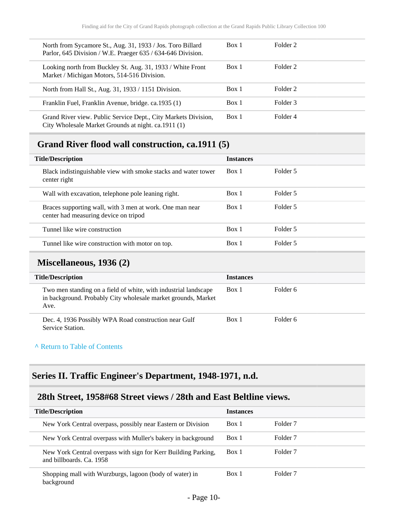| North from Sycamore St., Aug. 31, 1933 / Jos. Toro Billard<br>Parlor, 645 Division / W.E. Praeger 635 / 634-646 Division. | Box 1 | Folder 2 |
|---------------------------------------------------------------------------------------------------------------------------|-------|----------|
| Looking north from Buckley St. Aug. 31, 1933 / White Front<br>Market / Michigan Motors, 514-516 Division.                 | Box 1 | Folder 2 |
| North from Hall St., Aug. 31, 1933 / 1151 Division.                                                                       | Box 1 | Folder 2 |
| Franklin Fuel, Franklin Avenue, bridge. ca. 1935 (1)                                                                      | Box 1 | Folder 3 |
| Grand River view. Public Service Dept., City Markets Division,<br>City Wholesale Market Grounds at night. ca.1911 (1)     | Box 1 | Folder 4 |

## <span id="page-9-0"></span>**Grand River flood wall construction, ca.1911 (5)**

| <b>Title/Description</b>                                                                          | <b>Instances</b> |          |
|---------------------------------------------------------------------------------------------------|------------------|----------|
| Black indistinguishable view with smoke stacks and water tower<br>center right                    | Box 1            | Folder 5 |
| Wall with excavation, telephone pole leaning right.                                               | Box 1            | Folder 5 |
| Braces supporting wall, with 3 men at work. One man near<br>center had measuring device on tripod | Box 1            | Folder 5 |
| Tunnel like wire construction                                                                     | Box 1            | Folder 5 |
| Tunnel like wire construction with motor on top.                                                  | Box 1            | Folder 5 |

#### <span id="page-9-1"></span>**Miscellaneous, 1936 (2)**

| <b>Title/Description</b>                                                                                                                 | <i>Instances</i> |          |
|------------------------------------------------------------------------------------------------------------------------------------------|------------------|----------|
| Two men standing on a field of white, with industrial landscape<br>in background. Probably City wholesale market grounds, Market<br>Ave. | Box 1            | Folder 6 |
| Dec. 4, 1936 Possibly WPA Road construction near Gulf<br>Service Station.                                                                | Box 1            | Folder 6 |

#### **^** [Return to Table of Contents](#page-1-0)

#### <span id="page-9-2"></span>**Series II. Traffic Engineer's Department, 1948-1971, n.d.**

### <span id="page-9-3"></span>**28th Street, 1958#68 Street views / 28th and East Beltline views.**

| <b>Title/Description</b>                                                                   | <b>Instances</b> |                     |
|--------------------------------------------------------------------------------------------|------------------|---------------------|
| New York Central overpass, possibly near Eastern or Division                               | Box 1            | Folder <sub>7</sub> |
| New York Central overpass with Muller's bakery in background                               | Box 1            | Folder 7            |
| New York Central overpass with sign for Kerr Building Parking,<br>and billboards. Ca. 1958 | Box 1            | Folder <sub>7</sub> |
| Shopping mall with Wurzburgs, lagoon (body of water) in<br>background                      | Box 1            | Folder <sub>7</sub> |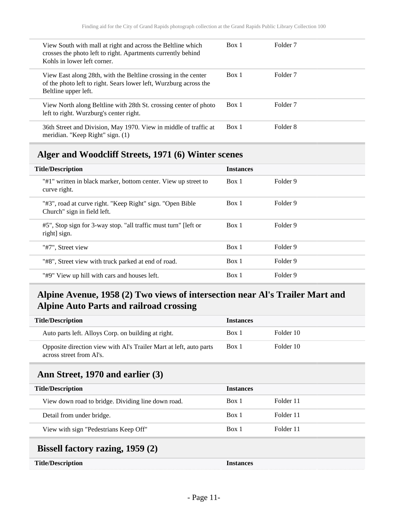| View South with mall at right and across the Beltline which<br>crosses the photo left to right. Apartments currently behind<br>Kohls in lower left corner.  | Box 1 | Folder <sub>7</sub> |
|-------------------------------------------------------------------------------------------------------------------------------------------------------------|-------|---------------------|
| View East along 28th, with the Beltline crossing in the center<br>of the photo left to right. Sears lower left, Wurzburg across the<br>Beltline upper left. | Box 1 | Folder <sub>7</sub> |
| View North along Beltline with 28th St. crossing center of photo<br>left to right. Wurzburg's center right.                                                 | Box 1 | Folder <sub>7</sub> |
| 36th Street and Division, May 1970. View in middle of traffic at<br>meridian. "Keep Right" sign. (1)                                                        | Box 1 | Folder 8            |

#### <span id="page-10-0"></span>**Alger and Woodcliff Streets, 1971 (6) Winter scenes**

| <b>Title/Description</b>                                                                  | <b>Instances</b> |          |
|-------------------------------------------------------------------------------------------|------------------|----------|
| "#1" written in black marker, bottom center. View up street to<br>curve right.            | Box 1            | Folder 9 |
| "#3", road at curve right. "Keep Right" sign. "Open Bible"<br>Church" sign in field left. | Box 1            | Folder 9 |
| #5", Stop sign for 3-way stop. "all traffic must turn" [left or<br>right sign.            | Box 1            | Folder 9 |
| "#7". Street view                                                                         | Box 1            | Folder 9 |
| "#8", Street view with truck parked at end of road.                                       | Box 1            | Folder 9 |
| "#9" View up hill with cars and houses left.                                              | Box 1            | Folder 9 |

### <span id="page-10-1"></span>**Alpine Avenue, 1958 (2) Two views of intersection near Al's Trailer Mart and Alpine Auto Parts and railroad crossing**

| <b>Title/Description</b>                                                                       | <b>Instances</b> |           |
|------------------------------------------------------------------------------------------------|------------------|-----------|
| Auto parts left. Alloys Corp. on building at right.                                            | Box 1            | Folder 10 |
| Opposite direction view with Al's Trailer Mart at left, auto parts<br>across street from Al's. | Box 1            | Folder 10 |
|                                                                                                |                  |           |

### <span id="page-10-2"></span>**Ann Street, 1970 and earlier (3)**

| <b>Title/Description</b>                           | <b>Instances</b> |           |
|----------------------------------------------------|------------------|-----------|
| View down road to bridge. Dividing line down road. | Box 1            | Folder 11 |
| Detail from under bridge.                          | Box 1            | Folder 11 |
| View with sign "Pedestrians Keep Off"              | Box 1            | Folder 11 |
|                                                    |                  |           |

## <span id="page-10-3"></span>**Bissell factory razing, 1959 (2)**

| <b>Title/Description</b> | <b>Instances</b> |  |
|--------------------------|------------------|--|
|--------------------------|------------------|--|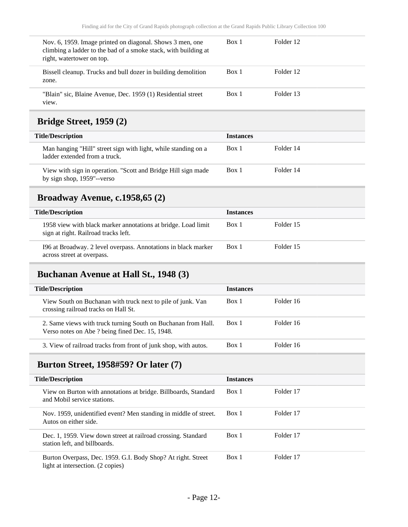| Nov. 6, 1959. Image printed on diagonal. Shows 3 men, one<br>climbing a ladder to the bad of a smoke stack, with building at<br>right, watertower on top. | Box 1 | Folder 12 |  |
|-----------------------------------------------------------------------------------------------------------------------------------------------------------|-------|-----------|--|
| Bissell cleanup. Trucks and bull dozer in building demolition<br>zone.                                                                                    | Box 1 | Folder 12 |  |
| "Blain" sic, Blaine Avenue, Dec. 1959 (1) Residential street<br>view.                                                                                     | Box 1 | Folder 13 |  |

## <span id="page-11-0"></span>**Bridge Street, 1959 (2)**

| <b>Title/Description</b>                                                                        | <b>Instances</b> |           |
|-------------------------------------------------------------------------------------------------|------------------|-----------|
| Man hanging "Hill" street sign with light, while standing on a<br>ladder extended from a truck. | Box 1            | Folder 14 |
| View with sign in operation. "Scott and Bridge Hill sign made<br>by sign shop, 1959"--verso     | Box 1            | Folder 14 |

### <span id="page-11-1"></span>**Broadway Avenue, c.1958,65 (2)**

| <b>Title/Description</b>                                                                              | <b>Instances</b> |           |
|-------------------------------------------------------------------------------------------------------|------------------|-----------|
| 1958 view with black marker annotations at bridge. Load limit<br>sign at right. Railroad tracks left. | Box 1            | Folder 15 |
| 196 at Broadway. 2 level overpass. Annotations in black marker<br>across street at overpass.          | Box 1            | Folder 15 |

## <span id="page-11-2"></span>**Buchanan Avenue at Hall St., 1948 (3)**

| <b>Title/Description</b>                                                                                         | <b>Instances</b> |           |
|------------------------------------------------------------------------------------------------------------------|------------------|-----------|
| View South on Buchanan with truck next to pile of junk. Van<br>crossing railroad tracks on Hall St.              | Box 1            | Folder 16 |
| 2. Same views with truck turning South on Buchanan from Hall.<br>Verso notes on Abe ? being fined Dec. 15, 1948. | Box 1            | Folder 16 |
| 3. View of railroad tracks from front of junk shop, with autos.                                                  | Box 1            | Folder 16 |

#### <span id="page-11-3"></span>**Burton Street, 1958#59? Or later (7)**

| <b>Title/Description</b>                                                                          | <b>Instances</b> |           |
|---------------------------------------------------------------------------------------------------|------------------|-----------|
| View on Burton with annotations at bridge. Billboards, Standard<br>and Mobil service stations.    | Box 1            | Folder 17 |
| Nov. 1959, unidentified event? Men standing in middle of street.<br>Autos on either side.         | Box 1            | Folder 17 |
| Dec. 1, 1959. View down street at railroad crossing. Standard<br>station left, and billboards.    | Box 1            | Folder 17 |
| Burton Overpass, Dec. 1959. G.I. Body Shop? At right. Street<br>light at intersection. (2 copies) | Box 1            | Folder 17 |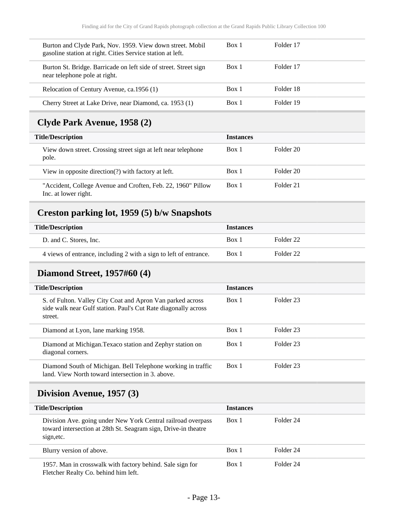| Box 1<br>Folder 17<br>Burton and Clyde Park, Nov. 1959. View down street. Mobil<br>gasoline station at right. Cities Service station at left.<br>Box 1<br>Folder 17<br>Burton St. Bridge. Barricade on left side of street. Street sign<br>near telephone pole at right.<br>Folder 18<br>Box 1<br>Relocation of Century Avenue, ca.1956 (1)<br>Folder 19<br>Box 1<br>Cherry Street at Lake Drive, near Diamond, ca. 1953 (1) |  |  |
|------------------------------------------------------------------------------------------------------------------------------------------------------------------------------------------------------------------------------------------------------------------------------------------------------------------------------------------------------------------------------------------------------------------------------|--|--|
|                                                                                                                                                                                                                                                                                                                                                                                                                              |  |  |
|                                                                                                                                                                                                                                                                                                                                                                                                                              |  |  |
|                                                                                                                                                                                                                                                                                                                                                                                                                              |  |  |
|                                                                                                                                                                                                                                                                                                                                                                                                                              |  |  |

## <span id="page-12-0"></span>**Clyde Park Avenue, 1958 (2)**

| <b>Title/Description</b>                                                             | <b>Instances</b> |           |
|--------------------------------------------------------------------------------------|------------------|-----------|
| View down street. Crossing street sign at left near telephone<br>pole.               | Box 1            | Folder 20 |
| View in opposite direction(?) with factory at left.                                  | Box 1            | Folder 20 |
| "Accident, College Avenue and Croften, Feb. 22, 1960" Pillow<br>Inc. at lower right. | Box 1            | Folder 21 |

# <span id="page-12-1"></span>**Creston parking lot, 1959 (5) b/w Snapshots**

| <b>Title/Description</b>                                          | <b>Instances</b> |           |
|-------------------------------------------------------------------|------------------|-----------|
| D. and C. Stores, Inc.                                            | Box 1            | Folder 22 |
| 4 views of entrance, including 2 with a sign to left of entrance. | Box 1            | Folder 22 |

#### <span id="page-12-2"></span>**Diamond Street, 1957#60 (4)**

| <b>Title/Description</b>                                                                                                                | <b>Instances</b> |           |  |
|-----------------------------------------------------------------------------------------------------------------------------------------|------------------|-----------|--|
| S. of Fulton. Valley City Coat and Apron Van parked across<br>side walk near Gulf station. Paul's Cut Rate diagonally across<br>street. | Box 1            | Folder 23 |  |
| Diamond at Lyon, lane marking 1958.                                                                                                     | Box 1            | Folder 23 |  |
| Diamond at Michigan. Texaco station and Zephyr station on<br>diagonal corners.                                                          | Box 1            | Folder 23 |  |
| Diamond South of Michigan. Bell Telephone working in traffic<br>land. View North toward intersection in 3, above.                       | Box 1            | Folder 23 |  |

## <span id="page-12-3"></span>**Division Avenue, 1957 (3)**

| <b>Title/Description</b>                                                                                                                     | <b>Instances</b> |           |
|----------------------------------------------------------------------------------------------------------------------------------------------|------------------|-----------|
| Division Ave. going under New York Central railroad overpass<br>toward intersection at 28th St. Seagram sign, Drive-in theatre<br>sign, etc. | Box 1            | Folder 24 |
| Blurry version of above.                                                                                                                     | Box 1            | Folder 24 |
| 1957. Man in crosswalk with factory behind. Sale sign for<br>Fletcher Realty Co. behind him left.                                            | Box 1            | Folder 24 |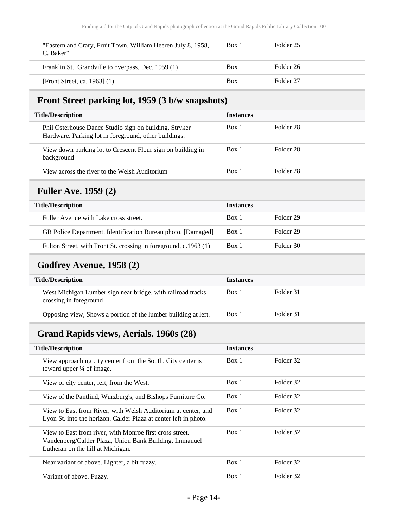| "Eastern and Crary, Fruit Town, William Heeren July 8, 1958,<br>C. Baker" | Box 1 | Folder 25 |  |
|---------------------------------------------------------------------------|-------|-----------|--|
| Franklin St., Grandville to overpass, Dec. 1959 (1)                       | Box 1 | Folder 26 |  |
| [Front Street, ca. 1963] (1)                                              | Box 1 | Folder 27 |  |

## <span id="page-13-0"></span>**Front Street parking lot, 1959 (3 b/w snapshots)**

| <b>Title/Description</b>                                                                                        | <b>Instances</b> |                      |
|-----------------------------------------------------------------------------------------------------------------|------------------|----------------------|
| Phil Osterhouse Dance Studio sign on building. Stryker<br>Hardware. Parking lot in foreground, other buildings. | Box 1            | Folder 28            |
| View down parking lot to Crescent Flour sign on building in<br>background                                       | Box 1            | Folder <sub>28</sub> |
| View across the river to the Welsh Auditorium                                                                   | Box 1            | Folder 28            |

## <span id="page-13-1"></span>**Fuller Ave. 1959 (2)**

| <b>Title/Description</b>                                         | <i><u><b>Instances</b></u></i> |           |
|------------------------------------------------------------------|--------------------------------|-----------|
| Fuller Avenue with Lake cross street.                            | Box 1                          | Folder 29 |
| GR Police Department. Identification Bureau photo. [Damaged]     | Box 1                          | Folder 29 |
| Fulton Street, with Front St. crossing in foreground, c.1963 (1) | Box 1                          | Folder 30 |

## <span id="page-13-2"></span>**Godfrey Avenue, 1958 (2)**

| <b>Title/Description</b>                                                              | <b>Instances</b> |           |
|---------------------------------------------------------------------------------------|------------------|-----------|
| West Michigan Lumber sign near bridge, with railroad tracks<br>crossing in foreground | Box 1            | Folder 31 |
| Opposing view, Shows a portion of the lumber building at left.                        | Box 1            | Folder 31 |

## <span id="page-13-3"></span>**Grand Rapids views, Aerials. 1960s (28)**

| <b>Title/Description</b>                                                                                                                                | <b>Instances</b> |           |
|---------------------------------------------------------------------------------------------------------------------------------------------------------|------------------|-----------|
| View approaching city center from the South. City center is<br>toward upper $\frac{1}{4}$ of image.                                                     | Box 1            | Folder 32 |
| View of city center, left, from the West.                                                                                                               | Box 1            | Folder 32 |
| View of the Pantlind, Wurzburg's, and Bishops Furniture Co.                                                                                             | Box 1            | Folder 32 |
| View to East from River, with Welsh Auditorium at center, and<br>Lyon St. into the horizon. Calder Plaza at center left in photo.                       | Box 1            | Folder 32 |
| View to East from river, with Monroe first cross street.<br>Vandenberg/Calder Plaza, Union Bank Building, Immanuel<br>Lutheran on the hill at Michigan. | Box 1            | Folder 32 |
| Near variant of above. Lighter, a bit fuzzy.                                                                                                            | Box 1            | Folder 32 |
| Variant of above. Fuzzy.                                                                                                                                | Box 1            | Folder 32 |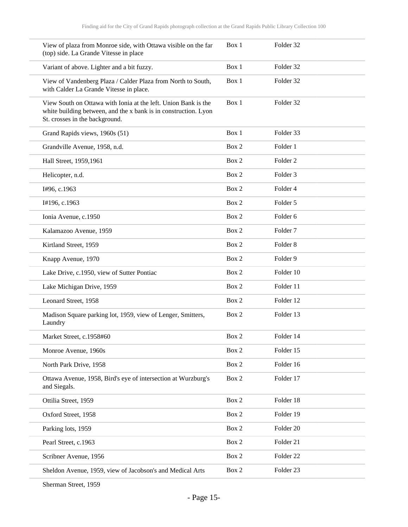| View of plaza from Monroe side, with Ottawa visible on the far<br>(top) side. La Grande Vitesse in place                                                            | Box 1 | Folder 32           |
|---------------------------------------------------------------------------------------------------------------------------------------------------------------------|-------|---------------------|
| Variant of above. Lighter and a bit fuzzy.                                                                                                                          | Box 1 | Folder 32           |
| View of Vandenberg Plaza / Calder Plaza from North to South,<br>with Calder La Grande Vitesse in place.                                                             | Box 1 | Folder 32           |
| View South on Ottawa with Ionia at the left. Union Bank is the<br>white building between, and the x bank is in construction. Lyon<br>St. crosses in the background. | Box 1 | Folder 32           |
| Grand Rapids views, 1960s (51)                                                                                                                                      | Box 1 | Folder 33           |
| Grandville Avenue, 1958, n.d.                                                                                                                                       | Box 2 | Folder 1            |
| Hall Street, 1959,1961                                                                                                                                              | Box 2 | Folder <sub>2</sub> |
| Helicopter, n.d.                                                                                                                                                    | Box 2 | Folder <sub>3</sub> |
| I#96, c.1963                                                                                                                                                        | Box 2 | Folder 4            |
| I#196, c.1963                                                                                                                                                       | Box 2 | Folder 5            |
| Ionia Avenue, c.1950                                                                                                                                                | Box 2 | Folder <sub>6</sub> |
| Kalamazoo Avenue, 1959                                                                                                                                              | Box 2 | Folder <sub>7</sub> |
| Kirtland Street, 1959                                                                                                                                               | Box 2 | Folder <sub>8</sub> |
| Knapp Avenue, 1970                                                                                                                                                  | Box 2 | Folder 9            |
| Lake Drive, c.1950, view of Sutter Pontiac                                                                                                                          | Box 2 | Folder 10           |
| Lake Michigan Drive, 1959                                                                                                                                           | Box 2 | Folder 11           |
| Leonard Street, 1958                                                                                                                                                | Box 2 | Folder 12           |
| Madison Square parking lot, 1959, view of Lenger, Smitters,<br>Laundry                                                                                              | Box 2 | Folder 13           |
| Market Street, c.1958#60                                                                                                                                            | Box 2 | Folder 14           |
| Monroe Avenue, 1960s                                                                                                                                                | Box 2 | Folder 15           |
| North Park Drive, 1958                                                                                                                                              | Box 2 | Folder 16           |
| Ottawa Avenue, 1958, Bird's eye of intersection at Wurzburg's<br>and Siegals.                                                                                       | Box 2 | Folder 17           |
| Ottilia Street, 1959                                                                                                                                                | Box 2 | Folder 18           |
| Oxford Street, 1958                                                                                                                                                 | Box 2 | Folder 19           |
| Parking lots, 1959                                                                                                                                                  | Box 2 | Folder 20           |
| Pearl Street, c.1963                                                                                                                                                | Box 2 | Folder 21           |
| Scribner Avenue, 1956                                                                                                                                               | Box 2 | Folder 22           |
| Sheldon Avenue, 1959, view of Jacobson's and Medical Arts                                                                                                           | Box 2 | Folder 23           |

Sherman Street, 1959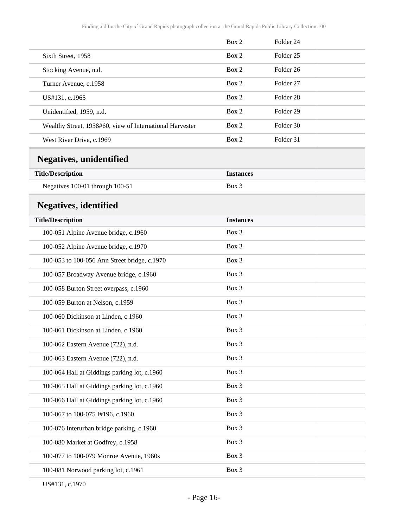<span id="page-15-1"></span><span id="page-15-0"></span>

|                                                          | Box 2            | Folder <sub>24</sub> |  |
|----------------------------------------------------------|------------------|----------------------|--|
| Sixth Street, 1958                                       | Box 2            | Folder <sub>25</sub> |  |
| Stocking Avenue, n.d.                                    | Box 2            | Folder <sub>26</sub> |  |
| Turner Avenue, c.1958                                    | Box 2            | Folder 27            |  |
| US#131, c.1965                                           | Box 2            | Folder <sub>28</sub> |  |
| Unidentified, 1959, n.d.                                 | Box 2            | Folder 29            |  |
| Wealthy Street, 1958#60, view of International Harvester | Box 2            | Folder 30            |  |
| West River Drive, c.1969                                 | Box 2            | Folder 31            |  |
| <b>Negatives, unidentified</b>                           |                  |                      |  |
| <b>Title/Description</b>                                 | <b>Instances</b> |                      |  |
| Negatives 100-01 through 100-51                          | Box 3            |                      |  |
| <b>Negatives, identified</b>                             |                  |                      |  |
| <b>Title/Description</b>                                 | <b>Instances</b> |                      |  |
| 100-051 Alpine Avenue bridge, c.1960                     | Box 3            |                      |  |
| 100-052 Alpine Avenue bridge, c.1970                     | Box 3            |                      |  |
| 100-053 to 100-056 Ann Street bridge, c.1970             | Box 3            |                      |  |
| 100-057 Broadway Avenue bridge, c.1960                   | Box 3            |                      |  |
| 100-058 Burton Street overpass, c.1960                   | Box 3            |                      |  |
| 100-059 Burton at Nelson, c.1959                         | Box 3            |                      |  |
| 100-060 Dickinson at Linden, c.1960                      | Box 3            |                      |  |
| 100-061 Dickinson at Linden, c.1960                      | Box 3            |                      |  |
| 100-062 Eastern Avenue (722), n.d.                       | Box 3            |                      |  |
| 100-063 Eastern Avenue (722), n.d.                       | Box 3            |                      |  |
| 100-064 Hall at Giddings parking lot, c.1960             | Box 3            |                      |  |
| 100-065 Hall at Giddings parking lot, c.1960             | Box 3            |                      |  |
| 100-066 Hall at Giddings parking lot, c.1960             | Box 3            |                      |  |
| 100-067 to 100-075 I#196, c.1960                         | Box 3            |                      |  |
| 100-076 Interurban bridge parking, c.1960                | Box 3            |                      |  |
| 100-080 Market at Godfrey, c.1958                        | Box 3            |                      |  |
| 100-077 to 100-079 Monroe Avenue, 1960s                  | Box 3            |                      |  |
| 100-081 Norwood parking lot, c.1961                      | Box 3            |                      |  |

US#131, c.1970